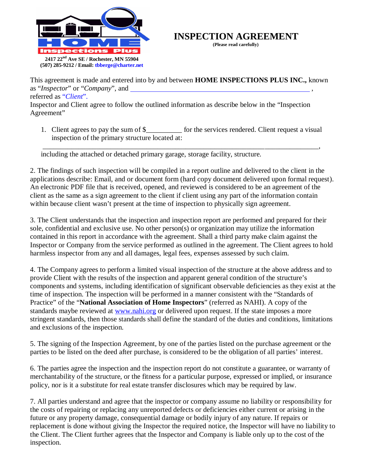

## **(507) 285-9212 INSPECTION AGREEMENT**

This agreement is made and entered into by and between **HOME INSPECTIONS PLUS INC.,** known as "*Inspector*" or "*Company*", and ,

referred as "*Client*".

Inspector and Client agree to follow the outlined information as describe below in the "Inspection Agreement"

1. Client agrees to pay the sum of \$ for the services rendered. Client request a visual inspection of the primary structure located at:

\_\_\_\_\_\_\_\_\_\_\_\_\_\_\_\_\_\_\_\_\_\_\_\_\_\_\_\_\_\_\_\_\_\_\_\_\_\_\_\_\_\_\_\_\_\_\_\_\_\_\_\_\_\_\_\_\_\_\_\_\_\_\_\_\_\_\_\_\_\_\_\_\_\_\_\_\_, including the attached or detached primary garage, storage facility, structure.

2. The findings of such inspection will be compiled in a report outline and delivered to the client in the applications describe: Email, and or document form (hard copy document delivered upon formal request). An electronic PDF file that is received, opened, and reviewed is considered to be an agreement of the client as the same as a sign agreement to the client if client using any part of the information contain within because client wasn't present at the time of inspection to physically sign agreement.

3. The Client understands that the inspection and inspection report are performed and prepared for their sole, confidential and exclusive use. No other person(s) or organization may utilize the information contained in this report in accordance with the agreement. Shall a third party make claim against the Inspector or Company from the service performed as outlined in the agreement. The Client agrees to hold harmless inspector from any and all damages, legal fees, expenses assessed by such claim.

4. The Company agrees to perform a limited visual inspection of the structure at the above address and to provide Client with the results of the inspection and apparent general condition of the structure's components and systems, including identification of significant observable deficiencies as they exist at the time of inspection. The inspection will be performed in a manner consistent with the "Standards of Practice" of the "**National Association of Home Inspectors**" (referred as NAHI). A copy of the standards maybe reviewed at www.nahi.org or delivered upon request. If the state imposes a more stringent standards, then those standards shall define the standard of the duties and conditions, limitations and exclusions of the inspection.

5. The signing of the Inspection Agreement, by one of the parties listed on the purchase agreement or the parties to be listed on the deed after purchase, is considered to be the obligation of all parties' interest.

6. The parties agree the inspection and the inspection report do not constitute a guarantee, or warranty of merchantability of the structure, or the fitness for a particular purpose, expressed or implied, or insurance policy, nor is it a substitute for real estate transfer disclosures which may be required by law.

7. All parties understand and agree that the inspector or company assume no liability or responsibility for the costs of repairing or replacing any unreported defects or deficiencies either current or arising in the future or any property damage, consequential damage or bodily injury of any nature. If repairs or replacement is done without giving the Inspector the required notice, the Inspector will have no liability to the Client. The Client further agrees that the Inspector and Company is liable only up to the cost of the inspection.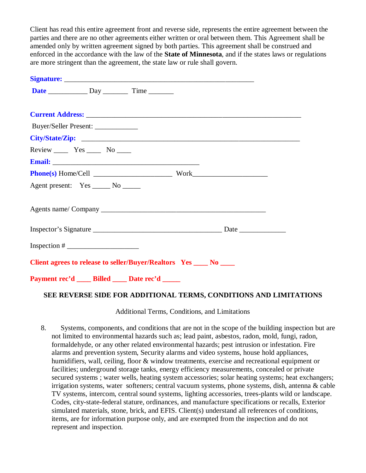Client has read this entire agreement front and reverse side, represents the entire agreement between the parties and there are no other agreements either written or oral between them. This Agreement shall be amended only by written agreement signed by both parties. This agreement shall be construed and enforced in the accordance with the law of the **State of Minnesota**, and if the states laws or regulations are more stringent than the agreement, the state law or rule shall govern.

| Date $\_\_\_\_\_\_\_\_\_\_\_\_\_\_\_\_\_\_\_\_\_\_\_\_\_\_\_\_\_\_\_\_$ Time $\_\_\_\_\_\_\_\_\_\_\_\_\_$ |  |
|-----------------------------------------------------------------------------------------------------------|--|
|                                                                                                           |  |
| Buyer/Seller Present: ______________                                                                      |  |
|                                                                                                           |  |
| Review ________ Yes _________ No ______                                                                   |  |
|                                                                                                           |  |
|                                                                                                           |  |
| Agent present: Yes ______ No ______                                                                       |  |
|                                                                                                           |  |
|                                                                                                           |  |
| $Inspection # \_$                                                                                         |  |
| Client agrees to release to seller/Buyer/Realtors Yes ____ No ____                                        |  |
| Payment rec'd ____ Billed ____ Date rec'd ____                                                            |  |

## **SEE REVERSE SIDE FOR ADDITIONAL TERMS, CONDITIONS AND LIMITATIONS**

Additional Terms, Conditions, and Limitations

8. Systems, components, and conditions that are not in the scope of the building inspection but are not limited to environmental hazards such as; lead paint, asbestos, radon, mold, fungi, radon, formaldehyde, or any other related environmental hazards; pest intrusion or infestation. Fire alarms and prevention system, Security alarms and video systems, house hold appliances, humidifiers, wall, ceiling, floor & window treatments, exercise and recreational equipment or facilities; underground storage tanks, energy efficiency measurements, concealed or private secured systems ; water wells, heating system accessories; solar heating systems; heat exchangers; irrigation systems, water softeners; central vacuum systems, phone systems, dish, antenna & cable TV systems, intercom, central sound systems, lighting accessories, trees-plants wild or landscape. Codes, city-state-federal stature, ordinances, and manufacture specifications or recalls, Exterior simulated materials, stone, brick, and EFIS. Client(s) understand all references of conditions, items, are for information purpose only, and are exempted from the inspection and do not represent and inspection.